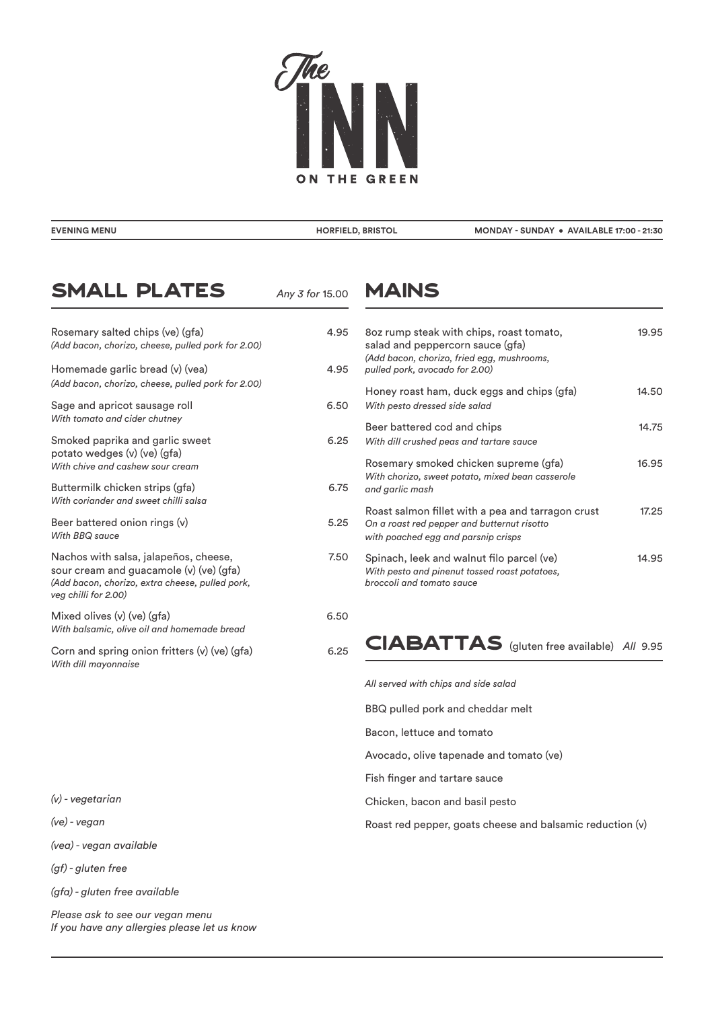

|  | EVENING MENU |  |
|--|--------------|--|
|  |              |  |

*Any 3 for* 15.00

**EVENING MENU HORFIELD, BRISTOL MONDAY - SUNDAY • AVAILABLE 17:00 - 21:30**

## Small Plates

#### Rosemary salted chips (ve) (gfa) 4.95 *(Add bacon, chorizo, cheese, pulled pork for 2.00)*  Homemade garlic bread (v) (vea) 4.9 *(Add bacon, chorizo, cheese, pulled pork for 2.00)* Sage and apricot sausage roll 6.50 *With tomato and cider chutney* Smoked paprika and garlic sweet 6.25 potato wedges (v) (ve) (gfa) *With chive and cashew sour cream*  Buttermilk chicken strips (gfa) 6.75 *With coriander and sweet chilli salsa*  Beer battered onion rings (v) 5.25 *With BBQ sauce*  Nachos with salsa, jalapeños, cheese, metallismos variants and the matter sour cream and guacamole (v) (ve) (gfa) *(Add bacon, chorizo, extra cheese, pulled pork, veg chilli for 2.00)* Mixed olives (v) (ve) (gfa) 6.50 *With balsamic, olive oil and homemade bread* Corn and spring onion fritters (v) (ve) (gfa) 6.25 *With dill mayonnaise*

#### *(v) - vegetarian*

*(ve) - vegan*

*(vea) - vegan available*

*(gf) - gluten free* 

*(gfa) - gluten free available*

*Please ask to see our vegan menu If you have any allergies please let us know*

#### MAINS

| 5<br>5 | 8oz rump steak with chips, roast tomato,<br>salad and peppercorn sauce (gfa)<br>(Add bacon, chorizo, fried egg, mushrooms,<br>pulled pork, avocado for 2.00) | 19.95 |
|--------|--------------------------------------------------------------------------------------------------------------------------------------------------------------|-------|
| 0      | Honey roast ham, duck eggs and chips (gfa)<br>With pesto dressed side salad                                                                                  | 14.50 |
| 5      | Beer battered cod and chips<br>With dill crushed peas and tartare sauce                                                                                      | 14.75 |
| 5      | Rosemary smoked chicken supreme (gfa)<br>With chorizo, sweet potato, mixed bean casserole<br>and garlic mash                                                 | 16.95 |
| 5      | Roast salmon fillet with a pea and tarragon crust<br>On a roast red pepper and butternut risotto<br>with poached egg and parsnip crisps                      | 17.25 |
| 0      | Spinach, leek and walnut filo parcel (ve)<br>With pesto and pinenut tossed roast potatoes,<br>broccoli and tomato sauce                                      | 14.95 |
|        |                                                                                                                                                              |       |

## CIABATTAS (gluten free available) All 9.95

*All served with chips and side salad*

BBQ pulled pork and cheddar melt

Bacon, lettuce and tomato

Avocado, olive tapenade and tomato (ve)

Fish finger and tartare sauce

Chicken, bacon and basil pesto

Roast red pepper, goats cheese and balsamic reduction (v)